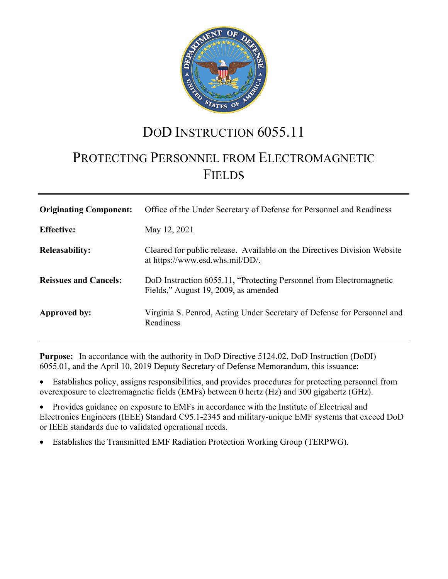

# DOD INSTRUCTION 6055.11

# PROTECTING PERSONNEL FROM ELECTROMAGNETIC FIELDS

| <b>Originating Component:</b> | Office of the Under Secretary of Defense for Personnel and Readiness                                        |
|-------------------------------|-------------------------------------------------------------------------------------------------------------|
| <b>Effective:</b>             | May 12, 2021                                                                                                |
| <b>Releasability:</b>         | Cleared for public release. Available on the Directives Division Website<br>at https://www.esd.whs.mil/DD/. |
| <b>Reissues and Cancels:</b>  | DoD Instruction 6055.11, "Protecting Personnel from Electromagnetic<br>Fields," August 19, 2009, as amended |
| Approved by:                  | Virginia S. Penrod, Acting Under Secretary of Defense for Personnel and<br>Readiness                        |

**Purpose:** In accordance with the authority in DoD Directive 5124.02, DoD Instruction (DoDI) 6055.01, and the April 10, 2019 Deputy Secretary of Defense Memorandum, this issuance:

Establishes policy, assigns responsibilities, and provides procedures for protecting personnel from overexposure to electromagnetic fields (EMFs) between 0 hertz (Hz) and 300 gigahertz (GHz).

• Provides guidance on exposure to EMFs in accordance with the Institute of Electrical and Electronics Engineers (IEEE) Standard C95.1-2345 and military-unique EMF systems that exceed DoD or IEEE standards due to validated operational needs.

• Establishes the Transmitted EMF Radiation Protection Working Group (TERPWG).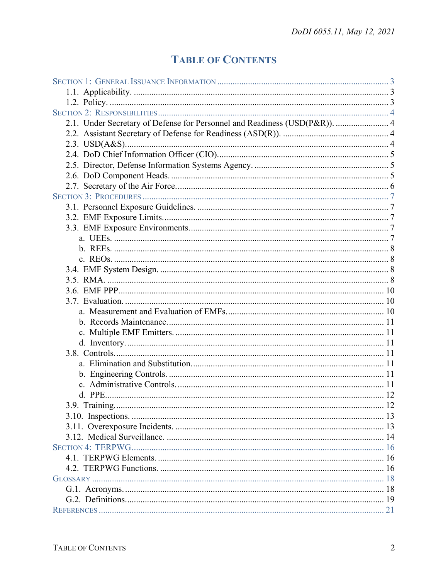# **TABLE OF CONTENTS**

| 2.1. Under Secretary of Defense for Personnel and Readiness (USD(P&R)).  4 |  |
|----------------------------------------------------------------------------|--|
|                                                                            |  |
|                                                                            |  |
|                                                                            |  |
|                                                                            |  |
|                                                                            |  |
|                                                                            |  |
|                                                                            |  |
|                                                                            |  |
|                                                                            |  |
|                                                                            |  |
|                                                                            |  |
|                                                                            |  |
|                                                                            |  |
|                                                                            |  |
|                                                                            |  |
|                                                                            |  |
|                                                                            |  |
|                                                                            |  |
|                                                                            |  |
|                                                                            |  |
|                                                                            |  |
|                                                                            |  |
|                                                                            |  |
|                                                                            |  |
|                                                                            |  |
|                                                                            |  |
|                                                                            |  |
|                                                                            |  |
|                                                                            |  |
|                                                                            |  |
|                                                                            |  |
|                                                                            |  |
|                                                                            |  |
|                                                                            |  |
|                                                                            |  |
|                                                                            |  |
|                                                                            |  |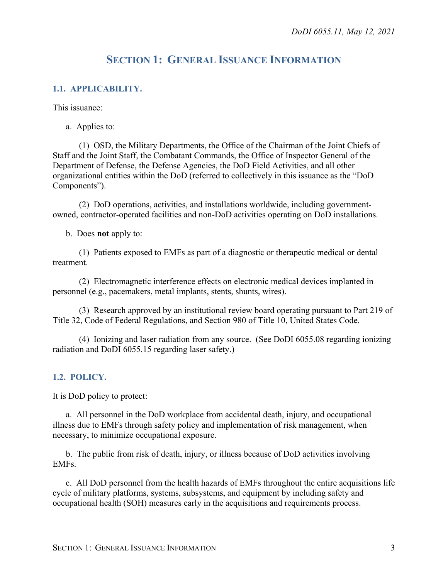# **SECTION 1: GENERAL ISSUANCE INFORMATION**

#### <span id="page-2-1"></span><span id="page-2-0"></span>**1.1. APPLICABILITY.**

This issuance:

a. Applies to:

(1) OSD, the Military Departments, the Office of the Chairman of the Joint Chiefs of Staff and the Joint Staff, the Combatant Commands, the Office of Inspector General of the Department of Defense, the Defense Agencies, the DoD Field Activities, and all other organizational entities within the DoD (referred to collectively in this issuance as the "DoD Components").

(2) DoD operations, activities, and installations worldwide, including governmentowned, contractor-operated facilities and non-DoD activities operating on DoD installations.

b. Does **not** apply to:

(1) Patients exposed to EMFs as part of a diagnostic or therapeutic medical or dental treatment.

(2) Electromagnetic interference effects on electronic medical devices implanted in personnel (e.g., pacemakers, metal implants, stents, shunts, wires).

(3) Research approved by an institutional review board operating pursuant to Part 219 of Title 32, Code of Federal Regulations, and Section 980 of Title 10, United States Code.

(4) Ionizing and laser radiation from any source. (See DoDI 6055.08 regarding ionizing radiation and DoDI 6055.15 regarding laser safety.)

#### <span id="page-2-2"></span>**1.2. POLICY.**

It is DoD policy to protect:

a. All personnel in the DoD workplace from accidental death, injury, and occupational illness due to EMFs through safety policy and implementation of risk management, when necessary, to minimize occupational exposure.

b. The public from risk of death, injury, or illness because of DoD activities involving EMFs.

c. All DoD personnel from the health hazards of EMFs throughout the entire acquisitions life cycle of military platforms, systems, subsystems, and equipment by including safety and occupational health (SOH) measures early in the acquisitions and requirements process.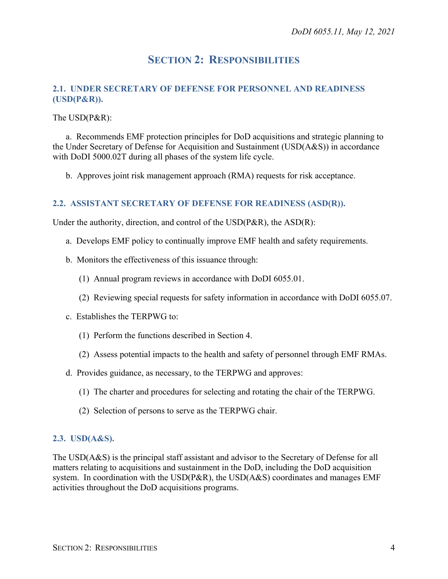## **SECTION 2: RESPONSIBILITIES**

#### <span id="page-3-1"></span><span id="page-3-0"></span>**2.1. UNDER SECRETARY OF DEFENSE FOR PERSONNEL AND READINESS (USD(P&R)).**

#### The USD(P&R):

a. Recommends EMF protection principles for DoD acquisitions and strategic planning to the Under Secretary of Defense for Acquisition and Sustainment (USD(A&S)) in accordance with DoDI 5000.02T during all phases of the system life cycle.

b. Approves joint risk management approach (RMA) requests for risk acceptance.

#### <span id="page-3-2"></span>**2.2. ASSISTANT SECRETARY OF DEFENSE FOR READINESS (ASD(R)).**

Under the authority, direction, and control of the  $USD(P\&R)$ , the  $ASD(R)$ :

- a. Develops EMF policy to continually improve EMF health and safety requirements.
- b. Monitors the effectiveness of this issuance through:
	- (1) Annual program reviews in accordance with DoDI 6055.01.
	- (2) Reviewing special requests for safety information in accordance with DoDI 6055.07.
- c. Establishes the TERPWG to:
	- (1) Perform the functions described in Section 4.
	- (2) Assess potential impacts to the health and safety of personnel through EMF RMAs.
- d. Provides guidance, as necessary, to the TERPWG and approves:
	- (1) The charter and procedures for selecting and rotating the chair of the TERPWG.
	- (2) Selection of persons to serve as the TERPWG chair.

#### <span id="page-3-3"></span>**2.3. USD(A&S).**

The USD(A&S) is the principal staff assistant and advisor to the Secretary of Defense for all matters relating to acquisitions and sustainment in the DoD, including the DoD acquisition system. In coordination with the USD(P&R), the USD(A&S) coordinates and manages EMF activities throughout the DoD acquisitions programs.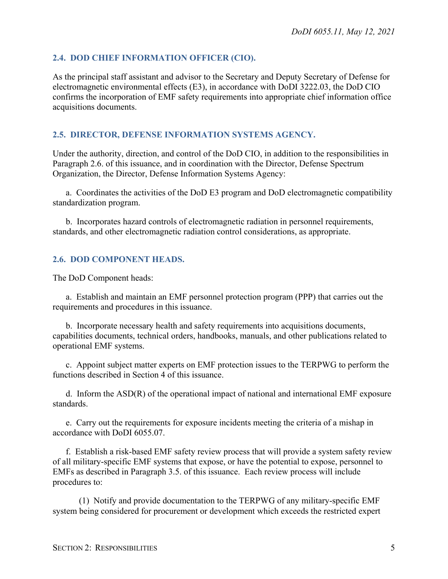#### <span id="page-4-0"></span>**2.4. DOD CHIEF INFORMATION OFFICER (CIO).**

As the principal staff assistant and advisor to the Secretary and Deputy Secretary of Defense for electromagnetic environmental effects (E3), in accordance with DoDI 3222.03, the DoD CIO confirms the incorporation of EMF safety requirements into appropriate chief information office acquisitions documents.

#### <span id="page-4-1"></span>**2.5. DIRECTOR, DEFENSE INFORMATION SYSTEMS AGENCY.**

Under the authority, direction, and control of the DoD CIO, in addition to the responsibilities in Paragraph 2.6. of this issuance, and in coordination with the Director, Defense Spectrum Organization, the Director, Defense Information Systems Agency:

a. Coordinates the activities of the DoD E3 program and DoD electromagnetic compatibility standardization program.

b. Incorporates hazard controls of electromagnetic radiation in personnel requirements, standards, and other electromagnetic radiation control considerations, as appropriate.

#### <span id="page-4-2"></span>**2.6. DOD COMPONENT HEADS.**

The DoD Component heads:

a. Establish and maintain an EMF personnel protection program (PPP) that carries out the requirements and procedures in this issuance.

b. Incorporate necessary health and safety requirements into acquisitions documents, capabilities documents, technical orders, handbooks, manuals, and other publications related to operational EMF systems.

c. Appoint subject matter experts on EMF protection issues to the TERPWG to perform the functions described in Section 4 of this issuance.

d. Inform the ASD(R) of the operational impact of national and international EMF exposure standards.

e. Carry out the requirements for exposure incidents meeting the criteria of a mishap in accordance with DoDI 6055.07.

f. Establish a risk-based EMF safety review process that will provide a system safety review of all military-specific EMF systems that expose, or have the potential to expose, personnel to EMFs as described in Paragraph 3.5. of this issuance. Each review process will include procedures to:

(1) Notify and provide documentation to the TERPWG of any military-specific EMF system being considered for procurement or development which exceeds the restricted expert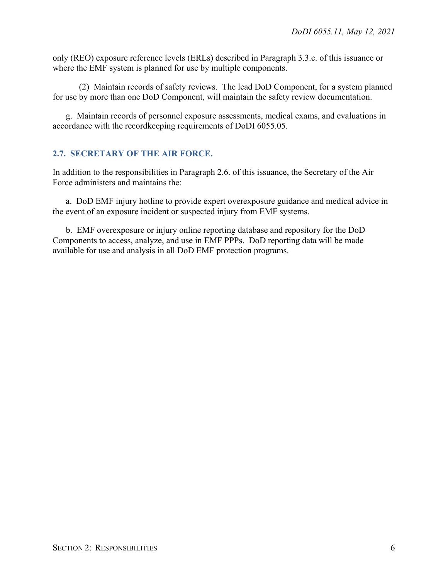only (REO) exposure reference levels (ERLs) described in Paragraph 3.3.c. of this issuance or where the EMF system is planned for use by multiple components.

(2) Maintain records of safety reviews. The lead DoD Component, for a system planned for use by more than one DoD Component, will maintain the safety review documentation.

g. Maintain records of personnel exposure assessments, medical exams, and evaluations in accordance with the recordkeeping requirements of DoDI 6055.05.

### <span id="page-5-0"></span>**2.7. SECRETARY OF THE AIR FORCE.**

In addition to the responsibilities in Paragraph 2.6. of this issuance, the Secretary of the Air Force administers and maintains the:

a. DoD EMF injury hotline to provide expert overexposure guidance and medical advice in the event of an exposure incident or suspected injury from EMF systems.

b. EMF overexposure or injury online reporting database and repository for the DoD Components to access, analyze, and use in EMF PPPs. DoD reporting data will be made available for use and analysis in all DoD EMF protection programs.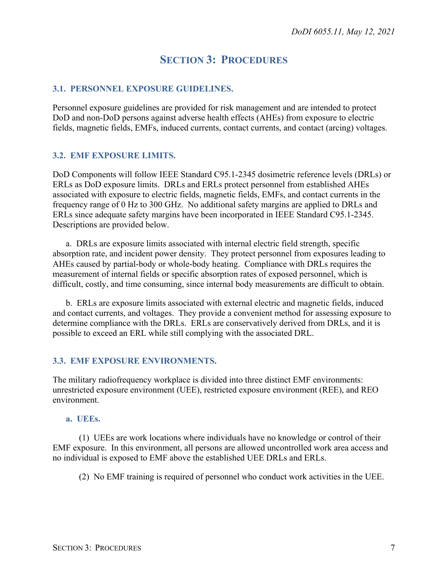## **SECTION 3: PROCEDURES**

#### <span id="page-6-1"></span><span id="page-6-0"></span>**3.1. PERSONNEL EXPOSURE GUIDELINES.**

Personnel exposure guidelines are provided for risk management and are intended to protect DoD and non-DoD persons against adverse health effects (AHEs) from exposure to electric fields, magnetic fields, EMFs, induced currents, contact currents, and contact (arcing) voltages.

#### <span id="page-6-2"></span>**3.2. EMF EXPOSURE LIMITS.**

DoD Components will follow IEEE Standard C95.1-2345 dosimetric reference levels (DRLs) or ERLs as DoD exposure limits. DRLs and ERLs protect personnel from established AHEs associated with exposure to electric fields, magnetic fields, EMFs, and contact currents in the frequency range of 0 Hz to 300 GHz. No additional safety margins are applied to DRLs and ERLs since adequate safety margins have been incorporated in IEEE Standard C95.1-2345. Descriptions are provided below.

a. DRLs are exposure limits associated with internal electric field strength, specific absorption rate, and incident power density. They protect personnel from exposures leading to AHEs caused by partial-body or whole-body heating. Compliance with DRLs requires the measurement of internal fields or specific absorption rates of exposed personnel, which is difficult, costly, and time consuming, since internal body measurements are difficult to obtain.

b. ERLs are exposure limits associated with external electric and magnetic fields, induced and contact currents, and voltages. They provide a convenient method for assessing exposure to determine compliance with the DRLs. ERLs are conservatively derived from DRLs, and it is possible to exceed an ERL while still complying with the associated DRL.

#### <span id="page-6-3"></span>**3.3. EMF EXPOSURE ENVIRONMENTS.**

The military radiofrequency workplace is divided into three distinct EMF environments: unrestricted exposure environment (UEE), restricted exposure environment (REE), and REO environment.

#### <span id="page-6-4"></span>**a. UEEs.**

(1) UEEs are work locations where individuals have no knowledge or control of their EMF exposure. In this environment, all persons are allowed uncontrolled work area access and no individual is exposed to EMF above the established UEE DRLs and ERLs.

(2) No EMF training is required of personnel who conduct work activities in the UEE.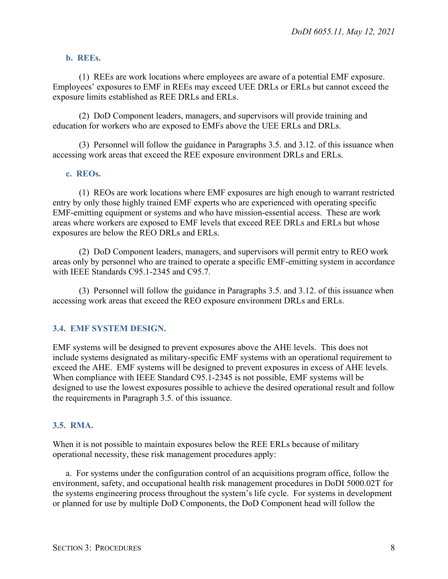#### <span id="page-7-0"></span>**b. REEs.**

(1) REEs are work locations where employees are aware of a potential EMF exposure. Employees' exposures to EMF in REEs may exceed UEE DRLs or ERLs but cannot exceed the exposure limits established as REE DRLs and ERLs.

(2) DoD Component leaders, managers, and supervisors will provide training and education for workers who are exposed to EMFs above the UEE ERLs and DRLs.

(3) Personnel will follow the guidance in Paragraphs 3.5. and 3.12. of this issuance when accessing work areas that exceed the REE exposure environment DRLs and ERLs.

#### <span id="page-7-1"></span>**c. REOs.**

(1) REOs are work locations where EMF exposures are high enough to warrant restricted entry by only those highly trained EMF experts who are experienced with operating specific EMF-emitting equipment or systems and who have mission-essential access. These are work areas where workers are exposed to EMF levels that exceed REE DRLs and ERLs but whose exposures are below the REO DRLs and ERLs.

(2) DoD Component leaders, managers, and supervisors will permit entry to REO work areas only by personnel who are trained to operate a specific EMF-emitting system in accordance with IEEE Standards C95.1-2345 and C95.7.

(3) Personnel will follow the guidance in Paragraphs 3.5. and 3.12. of this issuance when accessing work areas that exceed the REO exposure environment DRLs and ERLs.

#### <span id="page-7-2"></span>**3.4. EMF SYSTEM DESIGN.**

EMF systems will be designed to prevent exposures above the AHE levels. This does not include systems designated as military-specific EMF systems with an operational requirement to exceed the AHE. EMF systems will be designed to prevent exposures in excess of AHE levels. When compliance with IEEE Standard C95.1-2345 is not possible, EMF systems will be designed to use the lowest exposures possible to achieve the desired operational result and follow the requirements in Paragraph 3.5. of this issuance.

#### <span id="page-7-3"></span>**3.5. RMA.**

When it is not possible to maintain exposures below the REE ERLs because of military operational necessity, these risk management procedures apply:

a. For systems under the configuration control of an acquisitions program office, follow the environment, safety, and occupational health risk management procedures in DoDI 5000.02T for the systems engineering process throughout the system's life cycle. For systems in development or planned for use by multiple DoD Components, the DoD Component head will follow the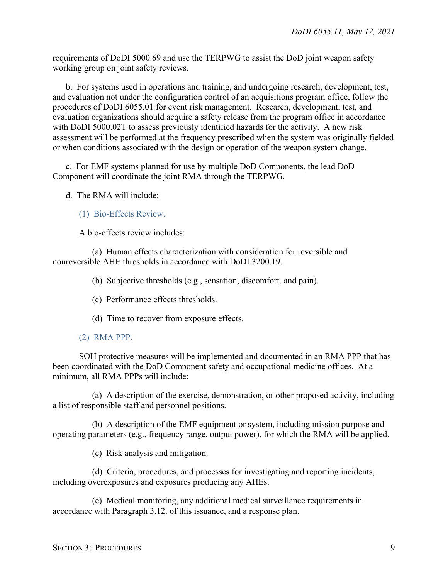requirements of DoDI 5000.69 and use the TERPWG to assist the DoD joint weapon safety working group on joint safety reviews.

b. For systems used in operations and training, and undergoing research, development, test, and evaluation not under the configuration control of an acquisitions program office, follow the procedures of DoDI 6055.01 for event risk management. Research, development, test, and evaluation organizations should acquire a safety release from the program office in accordance with DoDI 5000.02T to assess previously identified hazards for the activity. A new risk assessment will be performed at the frequency prescribed when the system was originally fielded or when conditions associated with the design or operation of the weapon system change.

c. For EMF systems planned for use by multiple DoD Components, the lead DoD Component will coordinate the joint RMA through the TERPWG.

d. The RMA will include:

(1) Bio-Effects Review.

A bio-effects review includes:

(a) Human effects characterization with consideration for reversible and nonreversible AHE thresholds in accordance with DoDI 3200.19.

(b) Subjective thresholds (e.g., sensation, discomfort, and pain).

- (c) Performance effects thresholds.
- (d) Time to recover from exposure effects.
- (2) RMA PPP.

SOH protective measures will be implemented and documented in an RMA PPP that has been coordinated with the DoD Component safety and occupational medicine offices. At a minimum, all RMA PPPs will include:

(a) A description of the exercise, demonstration, or other proposed activity, including a list of responsible staff and personnel positions.

(b) A description of the EMF equipment or system, including mission purpose and operating parameters (e.g., frequency range, output power), for which the RMA will be applied.

(c) Risk analysis and mitigation.

(d) Criteria, procedures, and processes for investigating and reporting incidents, including overexposures and exposures producing any AHEs.

(e) Medical monitoring, any additional medical surveillance requirements in accordance with Paragraph 3.12. of this issuance, and a response plan.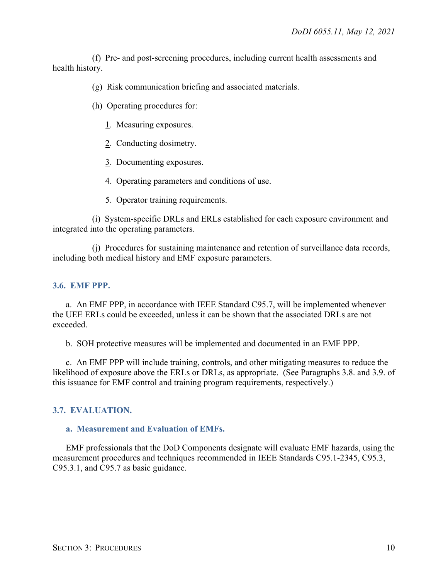(f) Pre- and post-screening procedures, including current health assessments and health history.

(g) Risk communication briefing and associated materials.

(h) Operating procedures for:

1. Measuring exposures.

- 2. Conducting dosimetry.
- 3. Documenting exposures.
- 4. Operating parameters and conditions of use.
- 5. Operator training requirements.

(i) System-specific DRLs and ERLs established for each exposure environment and integrated into the operating parameters.

(j) Procedures for sustaining maintenance and retention of surveillance data records, including both medical history and EMF exposure parameters.

#### <span id="page-9-0"></span>**3.6. EMF PPP.**

a. An EMF PPP, in accordance with IEEE Standard C95.7, will be implemented whenever the UEE ERLs could be exceeded, unless it can be shown that the associated DRLs are not exceeded.

b. SOH protective measures will be implemented and documented in an EMF PPP.

c. An EMF PPP will include training, controls, and other mitigating measures to reduce the likelihood of exposure above the ERLs or DRLs, as appropriate. (See Paragraphs 3.8. and 3.9. of this issuance for EMF control and training program requirements, respectively.)

### <span id="page-9-1"></span>**3.7. EVALUATION.**

#### <span id="page-9-2"></span>**a. Measurement and Evaluation of EMFs.**

EMF professionals that the DoD Components designate will evaluate EMF hazards, using the measurement procedures and techniques recommended in IEEE Standards C95.1-2345, C95.3, C95.3.1, and C95.7 as basic guidance.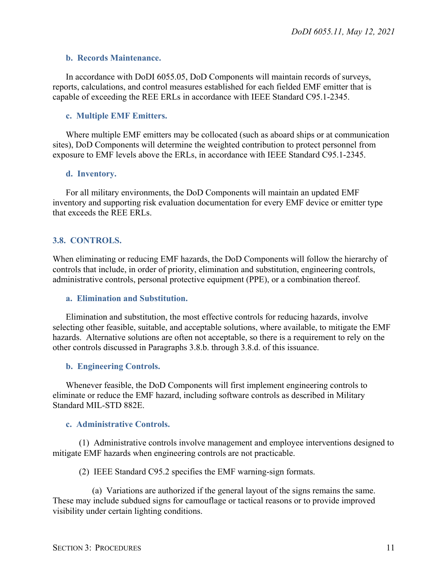#### <span id="page-10-0"></span>**b. Records Maintenance.**

In accordance with DoDI 6055.05, DoD Components will maintain records of surveys, reports, calculations, and control measures established for each fielded EMF emitter that is capable of exceeding the REE ERLs in accordance with IEEE Standard C95.1-2345.

#### <span id="page-10-1"></span>**c. Multiple EMF Emitters.**

Where multiple EMF emitters may be collocated (such as aboard ships or at communication sites), DoD Components will determine the weighted contribution to protect personnel from exposure to EMF levels above the ERLs, in accordance with IEEE Standard C95.1-2345.

#### <span id="page-10-2"></span>**d. Inventory.**

For all military environments, the DoD Components will maintain an updated EMF inventory and supporting risk evaluation documentation for every EMF device or emitter type that exceeds the REE ERLs.

#### <span id="page-10-3"></span>**3.8. CONTROLS.**

When eliminating or reducing EMF hazards, the DoD Components will follow the hierarchy of controls that include, in order of priority, elimination and substitution, engineering controls, administrative controls, personal protective equipment (PPE), or a combination thereof.

#### <span id="page-10-4"></span>**a. Elimination and Substitution.**

Elimination and substitution, the most effective controls for reducing hazards, involve selecting other feasible, suitable, and acceptable solutions, where available, to mitigate the EMF hazards. Alternative solutions are often not acceptable, so there is a requirement to rely on the other controls discussed in Paragraphs 3.8.b. through 3.8.d. of this issuance.

#### <span id="page-10-5"></span>**b. Engineering Controls.**

Whenever feasible, the DoD Components will first implement engineering controls to eliminate or reduce the EMF hazard, including software controls as described in Military Standard MIL-STD 882E.

#### <span id="page-10-6"></span>**c. Administrative Controls.**

(1) Administrative controls involve management and employee interventions designed to mitigate EMF hazards when engineering controls are not practicable.

(2) IEEE Standard C95.2 specifies the EMF warning-sign formats.

(a) Variations are authorized if the general layout of the signs remains the same. These may include subdued signs for camouflage or tactical reasons or to provide improved visibility under certain lighting conditions.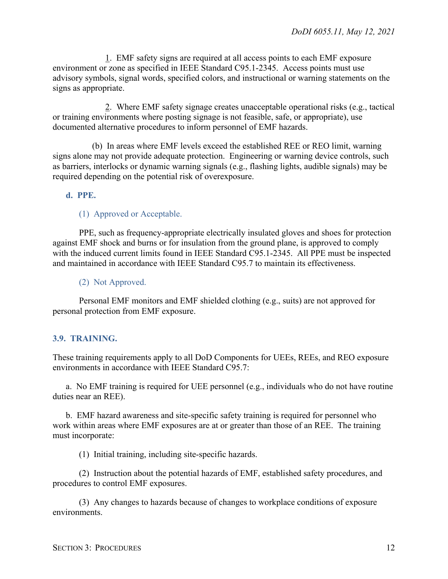1. EMF safety signs are required at all access points to each EMF exposure environment or zone as specified in IEEE Standard C95.1-2345. Access points must use advisory symbols, signal words, specified colors, and instructional or warning statements on the signs as appropriate.

2. Where EMF safety signage creates unacceptable operational risks (e.g., tactical or training environments where posting signage is not feasible, safe, or appropriate), use documented alternative procedures to inform personnel of EMF hazards.

(b) In areas where EMF levels exceed the established REE or REO limit, warning signs alone may not provide adequate protection. Engineering or warning device controls, such as barriers, interlocks or dynamic warning signals (e.g., flashing lights, audible signals) may be required depending on the potential risk of overexposure.

#### <span id="page-11-0"></span>**d. PPE.**

#### (1) Approved or Acceptable.

PPE, such as frequency-appropriate electrically insulated gloves and shoes for protection against EMF shock and burns or for insulation from the ground plane, is approved to comply with the induced current limits found in IEEE Standard C95.1-2345. All PPE must be inspected and maintained in accordance with IEEE Standard C95.7 to maintain its effectiveness.

(2) Not Approved.

Personal EMF monitors and EMF shielded clothing (e.g., suits) are not approved for personal protection from EMF exposure.

#### <span id="page-11-1"></span>**3.9. TRAINING.**

These training requirements apply to all DoD Components for UEEs, REEs, and REO exposure environments in accordance with IEEE Standard C95.7:

a. No EMF training is required for UEE personnel (e.g., individuals who do not have routine duties near an REE).

b. EMF hazard awareness and site-specific safety training is required for personnel who work within areas where EMF exposures are at or greater than those of an REE. The training must incorporate:

(1) Initial training, including site-specific hazards.

(2) Instruction about the potential hazards of EMF, established safety procedures, and procedures to control EMF exposures.

(3) Any changes to hazards because of changes to workplace conditions of exposure environments.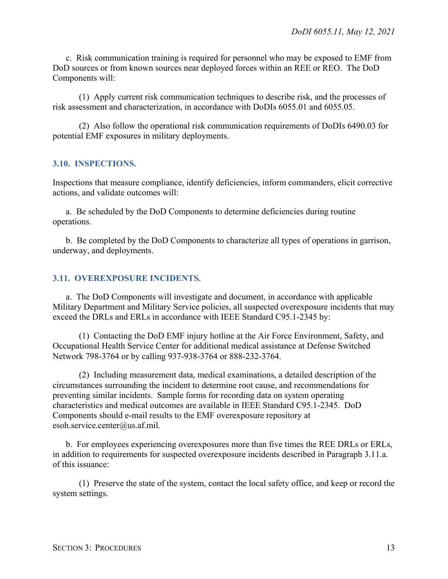c. Risk communication training is required for personnel who may be exposed to EMF from DoD sources or from known sources near deployed forces within an REE or REO. The DoD Components will:

(1) Apply current risk communication techniques to describe risk, and the processes of risk assessment and characterization, in accordance with DoDIs 6055.01 and 6055.05.

(2) Also follow the operational risk communication requirements of DoDIs 6490.03 for potential EMF exposures in military deployments.

#### <span id="page-12-0"></span>**3.10. INSPECTIONS.**

Inspections that measure compliance, identify deficiencies, inform commanders, elicit corrective actions, and validate outcomes will:

a. Be scheduled by the DoD Components to determine deficiencies during routine operations.

b. Be completed by the DoD Components to characterize all types of operations in garrison, underway, and deployments.

#### <span id="page-12-1"></span>**3.11. OVEREXPOSURE INCIDENTS.**

a. The DoD Components will investigate and document, in accordance with applicable Military Department and Military Service policies, all suspected overexposure incidents that may exceed the DRLs and ERLs in accordance with IEEE Standard C95.1-2345 by:

(1) Contacting the DoD EMF injury hotline at the Air Force Environment, Safety, and Occupational Health Service Center for additional medical assistance at Defense Switched Network 798-3764 or by calling 937-938-3764 or 888-232-3764.

(2) Including measurement data, medical examinations, a detailed description of the circumstances surrounding the incident to determine root cause, and recommendations for preventing similar incidents. Sample forms for recording data on system operating characteristics and medical outcomes are available in IEEE Standard C95.1-2345. DoD Components should e-mail results to the EMF overexposure repository at esoh.service.center@us.af.mil.

b. For employees experiencing overexposures more than five times the REE DRLs or ERLs, in addition to requirements for suspected overexposure incidents described in Paragraph 3.11.a. of this issuance:

(1) Preserve the state of the system, contact the local safety office, and keep or record the system settings.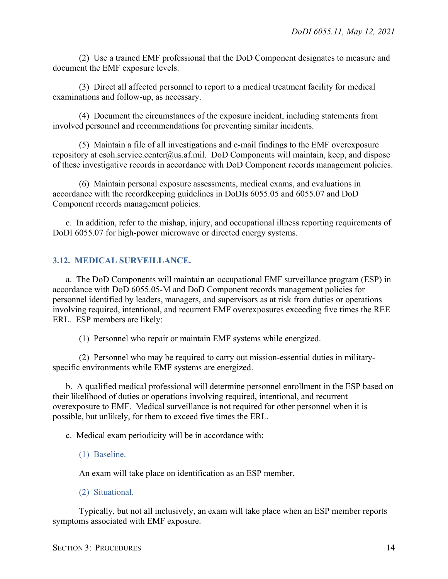(2) Use a trained EMF professional that the DoD Component designates to measure and document the EMF exposure levels.

(3) Direct all affected personnel to report to a medical treatment facility for medical examinations and follow-up, as necessary.

(4) Document the circumstances of the exposure incident, including statements from involved personnel and recommendations for preventing similar incidents.

(5) Maintain a file of all investigations and e-mail findings to the EMF overexposure repository at esoh.service.center@us.af.mil. DoD Components will maintain, keep, and dispose of these investigative records in accordance with DoD Component records management policies.

(6) Maintain personal exposure assessments, medical exams, and evaluations in accordance with the recordkeeping guidelines in DoDIs 6055.05 and 6055.07 and DoD Component records management policies.

c. In addition, refer to the mishap, injury, and occupational illness reporting requirements of DoDI 6055.07 for high-power microwave or directed energy systems.

## <span id="page-13-0"></span>**3.12. MEDICAL SURVEILLANCE.**

a. The DoD Components will maintain an occupational EMF surveillance program (ESP) in accordance with DoD 6055.05-M and DoD Component records management policies for personnel identified by leaders, managers, and supervisors as at risk from duties or operations involving required, intentional, and recurrent EMF overexposures exceeding five times the REE ERL. ESP members are likely:

(1) Personnel who repair or maintain EMF systems while energized.

(2) Personnel who may be required to carry out mission-essential duties in militaryspecific environments while EMF systems are energized.

b. A qualified medical professional will determine personnel enrollment in the ESP based on their likelihood of duties or operations involving required, intentional, and recurrent overexposure to EMF. Medical surveillance is not required for other personnel when it is possible, but unlikely, for them to exceed five times the ERL.

c. Medical exam periodicity will be in accordance with:

(1) Baseline.

An exam will take place on identification as an ESP member.

(2) Situational.

Typically, but not all inclusively, an exam will take place when an ESP member reports symptoms associated with EMF exposure.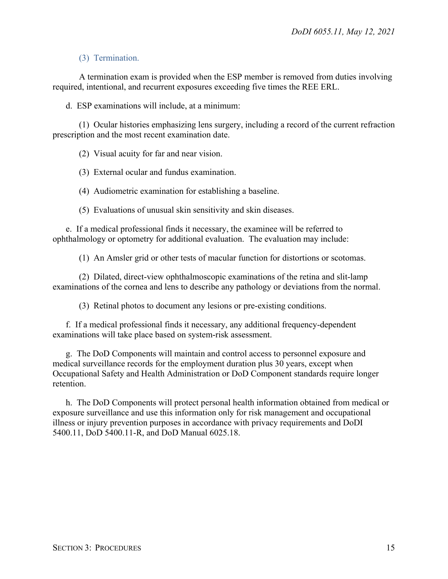#### (3) Termination.

A termination exam is provided when the ESP member is removed from duties involving required, intentional, and recurrent exposures exceeding five times the REE ERL.

d. ESP examinations will include, at a minimum:

(1) Ocular histories emphasizing lens surgery, including a record of the current refraction prescription and the most recent examination date.

(2) Visual acuity for far and near vision.

(3) External ocular and fundus examination.

(4) Audiometric examination for establishing a baseline.

(5) Evaluations of unusual skin sensitivity and skin diseases.

e. If a medical professional finds it necessary, the examinee will be referred to ophthalmology or optometry for additional evaluation. The evaluation may include:

(1) An Amsler grid or other tests of macular function for distortions or scotomas.

(2) Dilated, direct-view ophthalmoscopic examinations of the retina and slit-lamp examinations of the cornea and lens to describe any pathology or deviations from the normal.

(3) Retinal photos to document any lesions or pre-existing conditions.

f. If a medical professional finds it necessary, any additional frequency-dependent examinations will take place based on system-risk assessment.

g. The DoD Components will maintain and control access to personnel exposure and medical surveillance records for the employment duration plus 30 years, except when Occupational Safety and Health Administration or DoD Component standards require longer retention.

h. The DoD Components will protect personal health information obtained from medical or exposure surveillance and use this information only for risk management and occupational illness or injury prevention purposes in accordance with privacy requirements and DoDI 5400.11, DoD 5400.11-R, and DoD Manual 6025.18.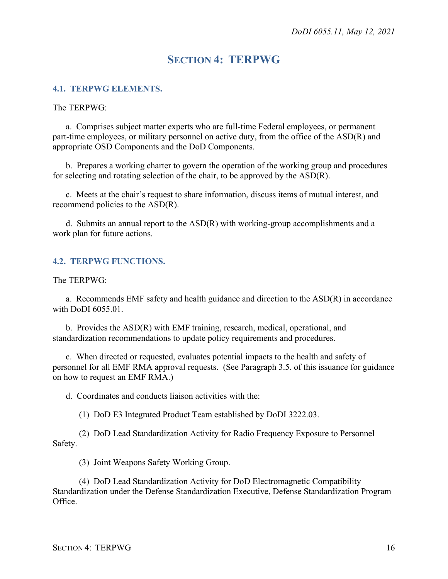# **SECTION 4: TERPWG**

#### <span id="page-15-1"></span><span id="page-15-0"></span>**4.1. TERPWG ELEMENTS.**

The TERPWG:

a. Comprises subject matter experts who are full-time Federal employees, or permanent part-time employees, or military personnel on active duty, from the office of the ASD(R) and appropriate OSD Components and the DoD Components.

b. Prepares a working charter to govern the operation of the working group and procedures for selecting and rotating selection of the chair, to be approved by the ASD(R).

c. Meets at the chair's request to share information, discuss items of mutual interest, and recommend policies to the ASD(R).

d. Submits an annual report to the ASD(R) with working-group accomplishments and a work plan for future actions.

#### <span id="page-15-2"></span>**4.2. TERPWG FUNCTIONS.**

The TERPWG:

a. Recommends EMF safety and health guidance and direction to the ASD(R) in accordance with DoDI 6055.01.

b. Provides the ASD(R) with EMF training, research, medical, operational, and standardization recommendations to update policy requirements and procedures.

c. When directed or requested, evaluates potential impacts to the health and safety of personnel for all EMF RMA approval requests. (See Paragraph 3.5. of this issuance for guidance on how to request an EMF RMA.)

d. Coordinates and conducts liaison activities with the:

(1) DoD E3 Integrated Product Team established by DoDI 3222.03.

(2) DoD Lead Standardization Activity for Radio Frequency Exposure to Personnel Safety.

(3) Joint Weapons Safety Working Group.

(4) DoD Lead Standardization Activity for DoD Electromagnetic Compatibility Standardization under the Defense Standardization Executive, Defense Standardization Program Office.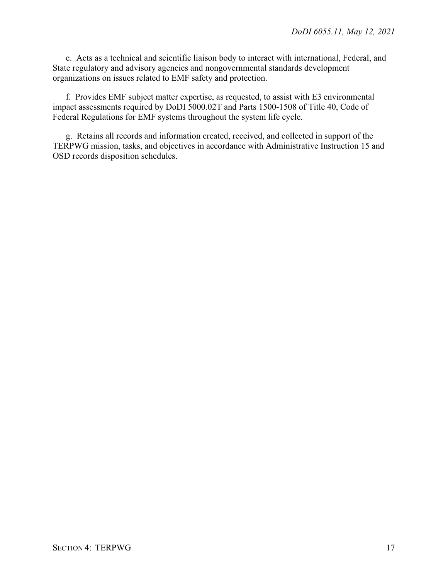e. Acts as a technical and scientific liaison body to interact with international, Federal, and State regulatory and advisory agencies and nongovernmental standards development organizations on issues related to EMF safety and protection.

f. Provides EMF subject matter expertise, as requested, to assist with E3 environmental impact assessments required by DoDI 5000.02T and Parts 1500-1508 of Title 40, Code of Federal Regulations for EMF systems throughout the system life cycle.

g. Retains all records and information created, received, and collected in support of the TERPWG mission, tasks, and objectives in accordance with Administrative Instruction 15 and OSD records disposition schedules.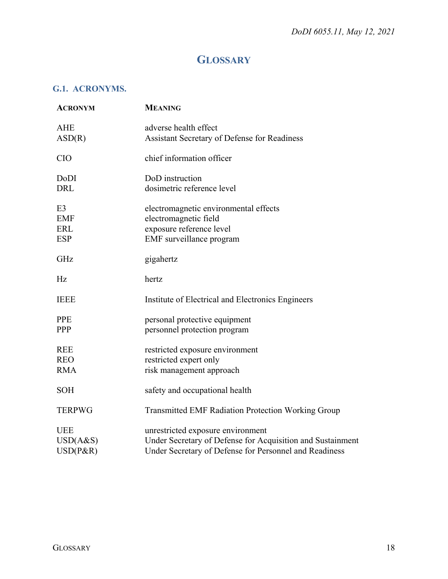# **GLOSSARY**

## <span id="page-17-1"></span><span id="page-17-0"></span>**G.1. ACRONYMS.**

| <b>ACRONYM</b>                                           | <b>MEANING</b>                                                                                                                                            |
|----------------------------------------------------------|-----------------------------------------------------------------------------------------------------------------------------------------------------------|
| <b>AHE</b><br>ASD(R)                                     | adverse health effect<br>Assistant Secretary of Defense for Readiness                                                                                     |
| <b>CIO</b>                                               | chief information officer                                                                                                                                 |
| DoDI<br><b>DRL</b>                                       | DoD instruction<br>dosimetric reference level                                                                                                             |
| E <sub>3</sub><br><b>EMF</b><br><b>ERL</b><br><b>ESP</b> | electromagnetic environmental effects<br>electromagnetic field<br>exposure reference level<br>EMF surveillance program                                    |
| GHz                                                      | gigahertz                                                                                                                                                 |
| Hz                                                       | hertz                                                                                                                                                     |
| <b>IEEE</b>                                              | Institute of Electrical and Electronics Engineers                                                                                                         |
| <b>PPE</b><br>PPP                                        | personal protective equipment<br>personnel protection program                                                                                             |
| <b>REE</b><br><b>REO</b><br><b>RMA</b>                   | restricted exposure environment<br>restricted expert only<br>risk management approach                                                                     |
| <b>SOH</b>                                               | safety and occupational health                                                                                                                            |
| <b>TERPWG</b>                                            | <b>Transmitted EMF Radiation Protection Working Group</b>                                                                                                 |
| <b>UEE</b><br>USD(A&S)<br>$USD(P\&R)$                    | unrestricted exposure environment<br>Under Secretary of Defense for Acquisition and Sustainment<br>Under Secretary of Defense for Personnel and Readiness |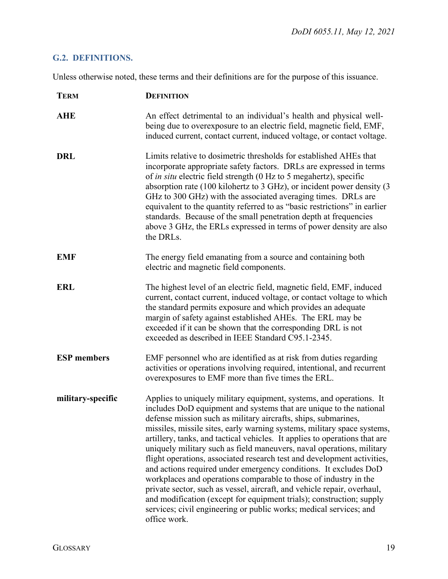## <span id="page-18-0"></span>**G.2. DEFINITIONS.**

Unless otherwise noted, these terms and their definitions are for the purpose of this issuance.

| <b>TERM</b>        | <b>DEFINITION</b>                                                                                                                                                                                                                                                                                                                                                                                                                                                                                                                                                                                                                                                                                                                                                                                                                                                                                         |
|--------------------|-----------------------------------------------------------------------------------------------------------------------------------------------------------------------------------------------------------------------------------------------------------------------------------------------------------------------------------------------------------------------------------------------------------------------------------------------------------------------------------------------------------------------------------------------------------------------------------------------------------------------------------------------------------------------------------------------------------------------------------------------------------------------------------------------------------------------------------------------------------------------------------------------------------|
| <b>AHE</b>         | An effect detrimental to an individual's health and physical well-<br>being due to overexposure to an electric field, magnetic field, EMF,<br>induced current, contact current, induced voltage, or contact voltage.                                                                                                                                                                                                                                                                                                                                                                                                                                                                                                                                                                                                                                                                                      |
| <b>DRL</b>         | Limits relative to dosimetric thresholds for established AHEs that<br>incorporate appropriate safety factors. DRLs are expressed in terms<br>of <i>in situ</i> electric field strength (0 Hz to 5 megahertz), specific<br>absorption rate (100 kilohertz to 3 GHz), or incident power density (3<br>GHz to 300 GHz) with the associated averaging times. DRLs are<br>equivalent to the quantity referred to as "basic restrictions" in earlier<br>standards. Because of the small penetration depth at frequencies<br>above 3 GHz, the ERLs expressed in terms of power density are also<br>the DRLs.                                                                                                                                                                                                                                                                                                     |
| <b>EMF</b>         | The energy field emanating from a source and containing both<br>electric and magnetic field components.                                                                                                                                                                                                                                                                                                                                                                                                                                                                                                                                                                                                                                                                                                                                                                                                   |
| <b>ERL</b>         | The highest level of an electric field, magnetic field, EMF, induced<br>current, contact current, induced voltage, or contact voltage to which<br>the standard permits exposure and which provides an adequate<br>margin of safety against established AHEs. The ERL may be<br>exceeded if it can be shown that the corresponding DRL is not<br>exceeded as described in IEEE Standard C95.1-2345.                                                                                                                                                                                                                                                                                                                                                                                                                                                                                                        |
| <b>ESP</b> members | EMF personnel who are identified as at risk from duties regarding<br>activities or operations involving required, intentional, and recurrent<br>overexposures to EMF more than five times the ERL.                                                                                                                                                                                                                                                                                                                                                                                                                                                                                                                                                                                                                                                                                                        |
| military-specific  | Applies to uniquely military equipment, systems, and operations. It<br>includes DoD equipment and systems that are unique to the national<br>defense mission such as military aircrafts, ships, submarines,<br>missiles, missile sites, early warning systems, military space systems,<br>artillery, tanks, and tactical vehicles. It applies to operations that are<br>uniquely military such as field maneuvers, naval operations, military<br>flight operations, associated research test and development activities,<br>and actions required under emergency conditions. It excludes DoD<br>workplaces and operations comparable to those of industry in the<br>private sector, such as vessel, aircraft, and vehicle repair, overhaul,<br>and modification (except for equipment trials); construction; supply<br>services; civil engineering or public works; medical services; and<br>office work. |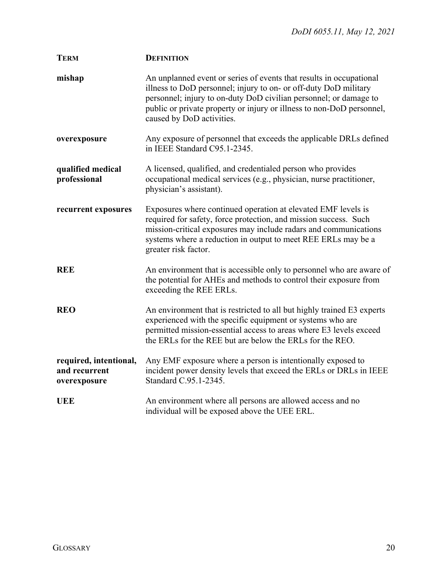| <b>TERM</b>                                             | <b>DEFINITION</b>                                                                                                                                                                                                                                                                                                  |
|---------------------------------------------------------|--------------------------------------------------------------------------------------------------------------------------------------------------------------------------------------------------------------------------------------------------------------------------------------------------------------------|
| mishap                                                  | An unplanned event or series of events that results in occupational<br>illness to DoD personnel; injury to on- or off-duty DoD military<br>personnel; injury to on-duty DoD civilian personnel; or damage to<br>public or private property or injury or illness to non-DoD personnel,<br>caused by DoD activities. |
| overexposure                                            | Any exposure of personnel that exceeds the applicable DRLs defined<br>in IEEE Standard C95.1-2345.                                                                                                                                                                                                                 |
| qualified medical<br>professional                       | A licensed, qualified, and credentialed person who provides<br>occupational medical services (e.g., physician, nurse practitioner,<br>physician's assistant).                                                                                                                                                      |
| recurrent exposures                                     | Exposures where continued operation at elevated EMF levels is<br>required for safety, force protection, and mission success. Such<br>mission-critical exposures may include radars and communications<br>systems where a reduction in output to meet REE ERLs may be a<br>greater risk factor.                     |
| <b>REE</b>                                              | An environment that is accessible only to personnel who are aware of<br>the potential for AHEs and methods to control their exposure from<br>exceeding the REE ERLs.                                                                                                                                               |
| <b>REO</b>                                              | An environment that is restricted to all but highly trained E3 experts<br>experienced with the specific equipment or systems who are<br>permitted mission-essential access to areas where E3 levels exceed<br>the ERLs for the REE but are below the ERLs for the REO.                                             |
| required, intentional,<br>and recurrent<br>overexposure | Any EMF exposure where a person is intentionally exposed to<br>incident power density levels that exceed the ERLs or DRLs in IEEE<br>Standard C.95.1-2345.                                                                                                                                                         |
| <b>UEE</b>                                              | An environment where all persons are allowed access and no<br>individual will be exposed above the UEE ERL.                                                                                                                                                                                                        |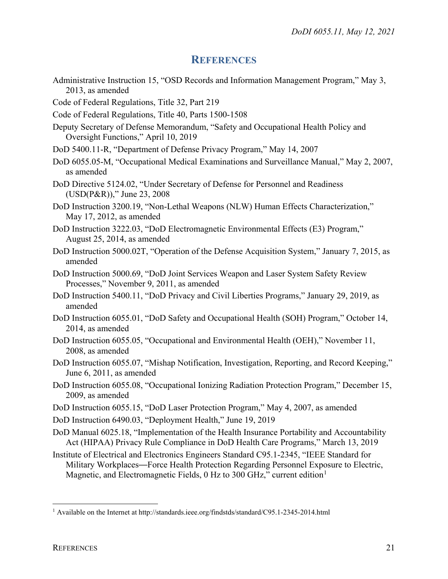## **REFERENCES**

- <span id="page-20-0"></span>Administrative Instruction 15, "OSD Records and Information Management Program," May 3, 2013, as amended
- Code of Federal Regulations, Title 32, Part 219
- Code of Federal Regulations, Title 40, Parts 1500-1508
- Deputy Secretary of Defense Memorandum, "Safety and Occupational Health Policy and Oversight Functions," April 10, 2019
- DoD 5400.11-R, "Department of Defense Privacy Program," May 14, 2007
- DoD 6055.05-M, "Occupational Medical Examinations and Surveillance Manual," May 2, 2007, as amended
- DoD Directive 5124.02, "Under Secretary of Defense for Personnel and Readiness (USD(P&R))," June 23, 2008
- DoD Instruction 3200.19, "Non-Lethal Weapons (NLW) Human Effects Characterization," May 17, 2012, as amended
- DoD Instruction 3222.03, "DoD Electromagnetic Environmental Effects (E3) Program," August 25, 2014, as amended
- DoD Instruction 5000.02T, "Operation of the Defense Acquisition System," January 7, 2015, as amended
- DoD Instruction 5000.69, "DoD Joint Services Weapon and Laser System Safety Review Processes," November 9, 2011, as amended
- DoD Instruction 5400.11, "DoD Privacy and Civil Liberties Programs," January 29, 2019, as amended
- DoD Instruction 6055.01, "DoD Safety and Occupational Health (SOH) Program," October 14, 2014, as amended
- DoD Instruction 6055.05, "Occupational and Environmental Health (OEH)," November 11, 2008, as amended
- DoD Instruction 6055.07, "Mishap Notification, Investigation, Reporting, and Record Keeping," June 6, 2011, as amended
- DoD Instruction 6055.08, "Occupational Ionizing Radiation Protection Program," December 15, 2009, as amended
- DoD Instruction 6055.15, "DoD Laser Protection Program," May 4, 2007, as amended
- DoD Instruction 6490.03, "Deployment Health," June 19, 2019
- DoD Manual 6025.18, "Implementation of the Health Insurance Portability and Accountability Act (HIPAA) Privacy Rule Compliance in DoD Health Care Programs," March 13, 2019
- Institute of Electrical and Electronics Engineers Standard C95.1-2345, "IEEE Standard for Military Workplaces—Force Health Protection Regarding Personnel Exposure to Electric, Magnetic, and Electromagnetic Fields,  $0$  Hz to 300 GHz," current edition<sup>[1](#page-20-1)</sup>

 $\overline{a}$ 

<span id="page-20-1"></span><sup>&</sup>lt;sup>1</sup> Available on the Internet at http://standards.ieee.org/findstds/standard/C95.1-2345-2014.html